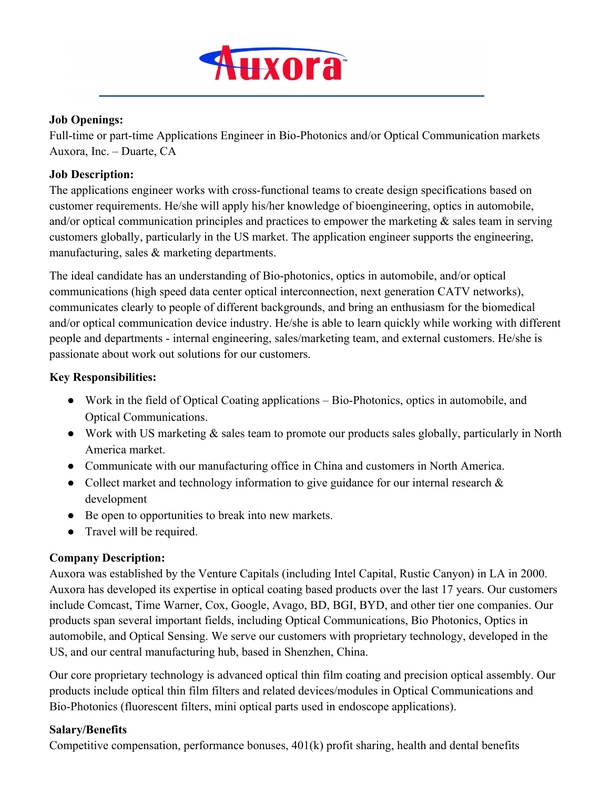

#### **Job Openings:**

Full-time or part-time Applications Engineer in Bio-Photonics and/or Optical Communication markets Auxora, Inc. – Duarte, CA

### **Job Description:**

The applications engineer works with cross-functional teams to create design specifications based on customer requirements. He/she will apply his/her knowledge of bioengineering, optics in automobile, and/or optical communication principles and practices to empower the marketing  $\&$  sales team in serving customers globally, particularly in the US market. The application engineer supports the engineering, manufacturing, sales & marketing departments.

The ideal candidate has an understanding of Bio-photonics, optics in automobile, and/or optical communications (high speed data center optical interconnection, next generation CATV networks), communicates clearly to people of different backgrounds, and bring an enthusiasm for the biomedical and/or optical communication device industry. He/she is able to learn quickly while working with different people and departments - internal engineering, sales/marketing team, and external customers. He/she is passionate about work out solutions for our customers.

## **Key Responsibilities:**

- Work in the field of Optical Coating applications Bio-Photonics, optics in automobile, and Optical Communications.
- Work with US marketing  $\&$  sales team to promote our products sales globally, particularly in North America market.
- Communicate with our manufacturing office in China and customers in North America.
- Collect market and technology information to give guidance for our internal research & development
- Be open to opportunities to break into new markets.
- Travel will be required.

## **Company Description:**

Auxora was established by the Venture Capitals (including Intel Capital, Rustic Canyon) in LA in 2000. Auxora has developed its expertise in optical coating based products over the last 17 years. Our customers include Comcast, Time Warner, Cox, Google, Avago, BD, BGI, BYD, and other tier one companies. Our products span several important fields, including Optical Communications, Bio Photonics, Optics in automobile, and Optical Sensing. We serve our customers with proprietary technology, developed in the US, and our central manufacturing hub, based in Shenzhen, China.

Our core proprietary technology is advanced optical thin film coating and precision optical assembly. Our products include optical thin film filters and related devices/modules in Optical Communications and Bio-Photonics (fluorescent filters, mini optical parts used in endoscope applications).

#### **Salary/Benefits**

Competitive compensation, performance bonuses, 401(k) profit sharing, health and dental benefits